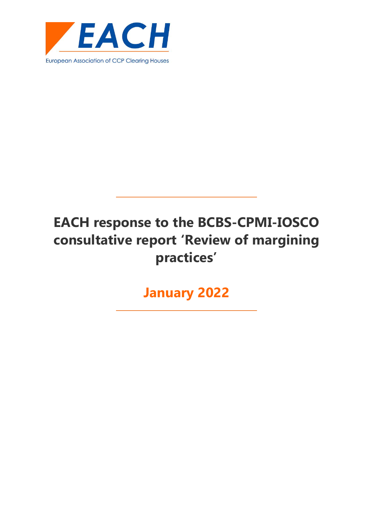

**January 2022**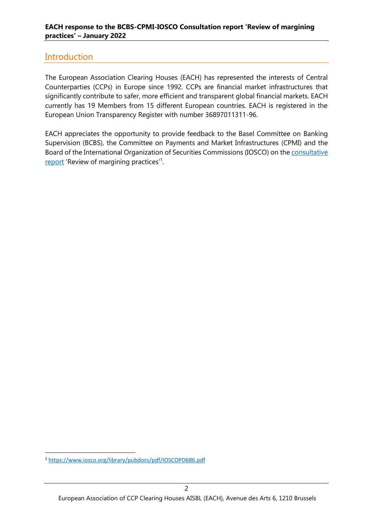### **Introduction**

The European Association Clearing Houses (EACH) has represented the interests of Central Counterparties (CCPs) in Europe since 1992. CCPs are financial market infrastructures that significantly contribute to safer, more efficient and transparent global financial markets. EACH currently has 19 Members from 15 different European countries. EACH is registered in the European Union Transparency Register with number 36897011311-96.

EACH appreciates the opportunity to provide feedback to the Basel Committee on Banking Supervision (BCBS), the Committee on Payments and Market Infrastructures (CPMI) and the Board of the International Organization of Securities Commissions (IOSCO) on the [consultative](https://www.bis.org/bcbs/publ/d526.htm)  [report](https://www.bis.org/bcbs/publ/d526.htm) 'Review of margining practices'<sup>1</sup>.

<sup>1</sup> <https://www.iosco.org/library/pubdocs/pdf/IOSCOPD686.pdf>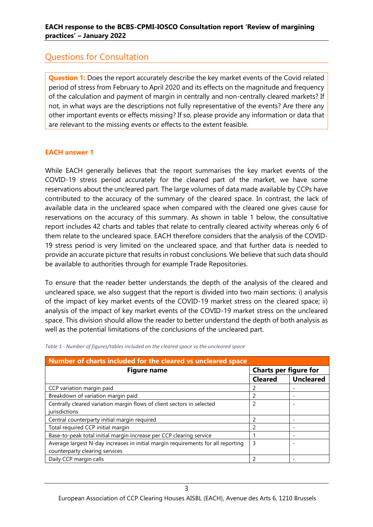## Questions for Consultation

**Question 1:** Does the report accurately describe the key market events of the Covid related period of stress from February to April 2020 and its effects on the magnitude and frequency of the calculation and payment of margin in centrally and non-centrally cleared markets? If not, in what ways are the descriptions not fully representative of the events? Are there any other important events or effects missing? If so, please provide any information or data that are relevant to the missing events or effects to the extent feasible.

#### **EACH answer 1**

While EACH generally believes that the report summarises the key market events of the COVID-19 stress period accurately for the cleared part of the market, we have some reservations about the uncleared part. The large volumes of data made available by CCPs have contributed to the accuracy of the summary of the cleared space. In contrast, the lack of available data in the uncleared space when compared with the cleared one gives cause for reservations on the accuracy of this summary. As shown in table 1 below, the consultative report includes 42 charts and tables that relate to centrally cleared activity whereas only 6 of them relate to the uncleared space. EACH therefore considers that the analysis of the COVID-19 stress period is very limited on the uncleared space, and that further data is needed to provide an accurate picture that results in robust conclusions. We believe that such data should be available to authorities through for example Trade Repositories.

To ensure that the reader better understands the depth of the analysis of the cleared and uncleared space, we also suggest that the report is divided into two main sections: i) analysis of the impact of key market events of the COVID-19 market stress on the cleared space; ii) analysis of the impact of key market events of the COVID-19 market stress on the uncleared space. This division should allow the reader to better understand the depth of both analysis as well as the potential limitations of the conclusions of the uncleared part.

| Number of charts included for the cleared vs uncleared space                     |                       |                  |
|----------------------------------------------------------------------------------|-----------------------|------------------|
| <b>Figure name</b>                                                               | Charts per figure for |                  |
|                                                                                  | <b>Cleared</b>        | <b>Uncleared</b> |
| CCP variation margin paid                                                        |                       |                  |
| Breakdown of variation margin paid                                               |                       |                  |
| Centrally cleared variation margin flows of client sectors in selected           | 2                     |                  |
| jurisdictions                                                                    |                       |                  |
| Central counterparty initial margin required                                     |                       |                  |
| Total required CCP initial margin                                                |                       |                  |
| Base-to-peak total initial margin increase per CCP clearing service              |                       |                  |
| Average largest N-day increases in initial margin requirements for all reporting | 3                     |                  |
| counterparty clearing services                                                   |                       |                  |
| Daily CCP margin calls                                                           |                       |                  |

#### *Table 1 - Number of figures/tables included on the cleared space vs the uncleared space*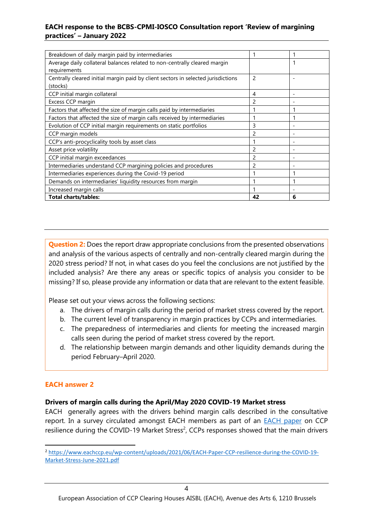| Breakdown of daily margin paid by intermediaries                                              |               |                          |
|-----------------------------------------------------------------------------------------------|---------------|--------------------------|
| Average daily collateral balances related to non-centrally cleared margin<br>requirements     |               | 1                        |
| Centrally cleared initial margin paid by client sectors in selected jurisdictions<br>(stocks) | $\mathcal{P}$ |                          |
| CCP initial margin collateral                                                                 | 4             | $\overline{\phantom{a}}$ |
| Excess CCP margin                                                                             |               |                          |
| Factors that affected the size of margin calls paid by intermediaries                         |               |                          |
| Factors that affected the size of margin calls received by intermediaries                     |               |                          |
| Evolution of CCP initial margin requirements on static portfolios                             | 3             |                          |
| CCP margin models                                                                             |               |                          |
| CCP's anti-procyclicality tools by asset class                                                |               |                          |
| Asset price volatility                                                                        | 2             |                          |
| CCP initial margin exceedances                                                                | 2             |                          |
| Intermediaries understand CCP margining policies and procedures                               |               |                          |
| Intermediaries experiences during the Covid-19 period                                         |               |                          |
| Demands on intermediaries' liquidity resources from margin                                    |               |                          |
| Increased margin calls                                                                        |               |                          |
| <b>Total charts/tables:</b>                                                                   |               | 6                        |

**Question 2:** Does the report draw appropriate conclusions from the presented observations and analysis of the various aspects of centrally and non-centrally cleared margin during the 2020 stress period? If not, in what cases do you feel the conclusions are not justified by the included analysis? Are there any areas or specific topics of analysis you consider to be missing? If so, please provide any information or data that are relevant to the extent feasible.

Please set out your views across the following sections:

- a. The drivers of margin calls during the period of market stress covered by the report.
- b. The current level of transparency in margin practices by CCPs and intermediaries.
- c. The preparedness of intermediaries and clients for meeting the increased margin calls seen during the period of market stress covered by the report.
- d. The relationship between margin demands and other liquidity demands during the period February–April 2020.

#### **EACH answer 2**

#### **Drivers of margin calls during the April/May 2020 COVID-19 Market stress**

EACH generally agrees with the drivers behind margin calls described in the consultative report. In a survey circulated amongst EACH members as part of an **EACH** paper on CCP resilience during the COVID-19 Market Stress<sup>2</sup>, CCPs responses showed that the main drivers

<sup>2</sup> [https://www.eachccp.eu/wp-content/uploads/2021/06/EACH-Paper-CCP-resilience-during-the-COVID-19-](https://www.eachccp.eu/wp-content/uploads/2021/06/EACH-Paper-CCP-resilience-during-the-COVID-19-Market-Stress-June-2021.pdf) [Market-Stress-June-2021.pdf](https://www.eachccp.eu/wp-content/uploads/2021/06/EACH-Paper-CCP-resilience-during-the-COVID-19-Market-Stress-June-2021.pdf)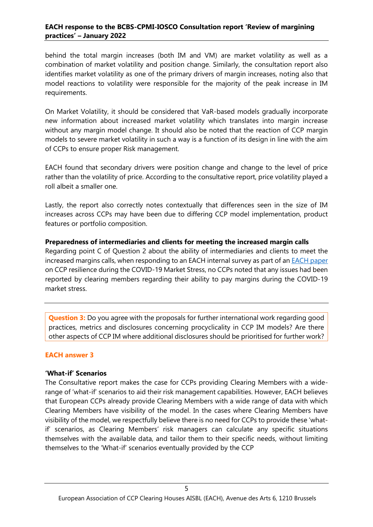behind the total margin increases (both IM and VM) are market volatility as well as a combination of market volatility and position change. Similarly, the consultation report also identifies market volatility as one of the primary drivers of margin increases, noting also that model reactions to volatility were responsible for the majority of the peak increase in IM requirements.

On Market Volatility, it should be considered that VaR-based models gradually incorporate new information about increased market volatility which translates into margin increase without any margin model change. It should also be noted that the reaction of CCP margin models to severe market volatility in such a way is a function of its design in line with the aim of CCPs to ensure proper Risk management.

EACH found that secondary drivers were position change and change to the level of price rather than the volatility of price. According to the consultative report, price volatility played a roll albeit a smaller one.

Lastly, the report also correctly notes contextually that differences seen in the size of IM increases across CCPs may have been due to differing CCP model implementation, product features or portfolio composition.

# **Preparedness of intermediaries and clients for meeting the increased margin calls** Regarding point C of Question 2 about the ability of intermediaries and clients to meet the increased margins calls, when responding to an EACH internal survey as part of a[n EACH paper](https://www.eachccp.eu/wp-content/uploads/2021/06/EACH-Paper-CCP-resilience-during-the-COVID-19-Market-Stress-June-2021.pdf)

on CCP resilience during the COVID-19 Market Stress, no CCPs noted that any issues had been reported by clearing members regarding their ability to pay margins during the COVID-19 market stress.

**Question 3:** Do you agree with the proposals for further international work regarding good practices, metrics and disclosures concerning procyclicality in CCP IM models? Are there other aspects of CCP IM where additional disclosures should be prioritised for further work?

#### **EACH answer 3**

#### **'What-if' Scenarios**

The Consultative report makes the case for CCPs providing Clearing Members with a widerange of 'what-if' scenarios to aid their risk management capabilities. However, EACH believes that European CCPs already provide Clearing Members with a wide range of data with which Clearing Members have visibility of the model. In the cases where Clearing Members have visibility of the model, we respectfully believe there is no need for CCPs to provide these 'whatif' scenarios, as Clearing Members' risk managers can calculate any specific situations themselves with the available data, and tailor them to their specific needs, without limiting themselves to the 'What-if' scenarios eventually provided by the CCP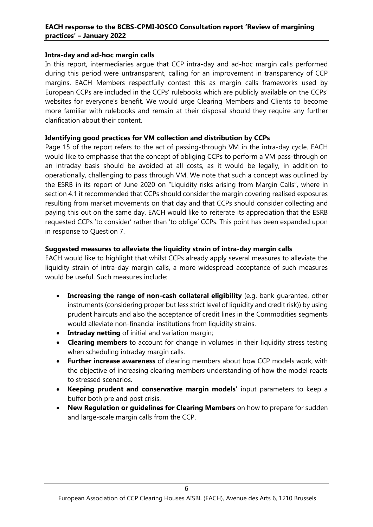#### **Intra-day and ad-hoc margin calls**

In this report, intermediaries argue that CCP intra-day and ad-hoc margin calls performed during this period were untransparent, calling for an improvement in transparency of CCP margins. EACH Members respectfully contest this as margin calls frameworks used by European CCPs are included in the CCPs' rulebooks which are publicly available on the CCPs' websites for everyone's benefit. We would urge Clearing Members and Clients to become more familiar with rulebooks and remain at their disposal should they require any further clarification about their content.

#### **Identifying good practices for VM collection and distribution by CCPs**

Page 15 of the report refers to the act of passing-through VM in the intra-day cycle. EACH would like to emphasise that the concept of obliging CCPs to perform a VM pass-through on an intraday basis should be avoided at all costs, as it would be legally, in addition to operationally, challenging to pass through VM. We note that such a concept was outlined by the ESRB in its report of June 2020 on "Liquidity risks arising from Margin Calls", where in section 4.1 it recommended that CCPs should consider the margin covering realised exposures resulting from market movements on that day and that CCPs should consider collecting and paying this out on the same day. EACH would like to reiterate its appreciation that the ESRB requested CCPs 'to consider' rather than 'to oblige' CCPs. This point has been expanded upon in response to Question 7.

#### **Suggested measures to alleviate the liquidity strain of intra-day margin calls**

EACH would like to highlight that whilst CCPs already apply several measures to alleviate the liquidity strain of intra-day margin calls, a more widespread acceptance of such measures would be useful. Such measures include:

- **Increasing the range of non-cash collateral eligibility** (e.g. bank guarantee, other instruments (considering proper but less strict level of liquidity and credit risk)) by using prudent haircuts and also the acceptance of credit lines in the Commodities segments would alleviate non-financial institutions from liquidity strains.
- **Intraday netting** of initial and variation margin;
- **Clearing members** to account for change in volumes in their liquidity stress testing when scheduling intraday margin calls.
- **Further increase awareness** of clearing members about how CCP models work, with the objective of increasing clearing members understanding of how the model reacts to stressed scenarios.
- **Keeping prudent and conservative margin models'** input parameters to keep a buffer both pre and post crisis.
- **New Regulation or guidelines for Clearing Members** on how to prepare for sudden and large-scale margin calls from the CCP.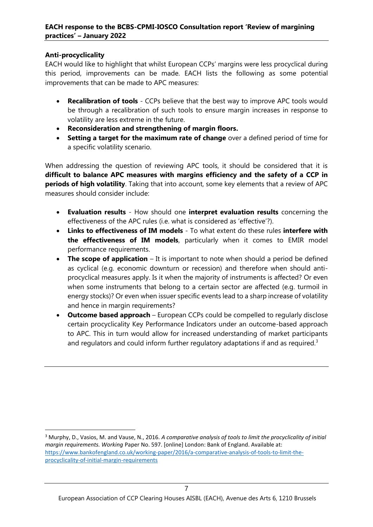#### **Anti-procyclicality**

EACH would like to highlight that whilst European CCPs' margins were less procyclical during this period, improvements can be made. EACH lists the following as some potential improvements that can be made to APC measures:

- **Recalibration of tools** CCPs believe that the best way to improve APC tools would be through a recalibration of such tools to ensure margin increases in response to volatility are less extreme in the future.
- **Reconsideration and strengthening of margin floors.**
- **Setting a target for the maximum rate of change** over a defined period of time for a specific volatility scenario.

When addressing the question of reviewing APC tools, it should be considered that it is **difficult to balance APC measures with margins efficiency and the safety of a CCP in periods of high volatility**. Taking that into account, some key elements that a review of APC measures should consider include:

- **Evaluation results** How should one **interpret evaluation results** concerning the effectiveness of the APC rules (i.e. what is considered as 'effective'?).
- **Links to effectiveness of IM models** To what extent do these rules **interfere with the effectiveness of IM models**, particularly when it comes to EMIR model performance requirements.
- **The scope of application** It is important to note when should a period be defined as cyclical (e.g. economic downturn or recession) and therefore when should antiprocyclical measures apply. Is it when the majority of instruments is affected? Or even when some instruments that belong to a certain sector are affected (e.g. turmoil in energy stocks)? Or even when issuer specific events lead to a sharp increase of volatility and hence in margin requirements?
- **Outcome based approach** European CCPs could be compelled to regularly disclose certain procyclicality Key Performance Indicators under an outcome-based approach to APC. This in turn would allow for increased understanding of market participants and regulators and could inform further regulatory adaptations if and as required.<sup>3</sup>

<sup>3</sup> Murphy, D., Vasios, M. and Vause, N., 2016. *A comparative analysis of tools to limit the procyclicality of initial margin requirements. Working* Paper No. 597. [online] London: Bank of England. Available at: [https://www.bankofengland.co.uk/working-paper/2016/a-comparative-analysis-of-tools-to-limit-the](https://www.bankofengland.co.uk/working-paper/2016/a-comparative-analysis-of-tools-to-limit-the-procyclicality-of-initial-margin-requirements)[procyclicality-of-initial-margin-requirements](https://www.bankofengland.co.uk/working-paper/2016/a-comparative-analysis-of-tools-to-limit-the-procyclicality-of-initial-margin-requirements)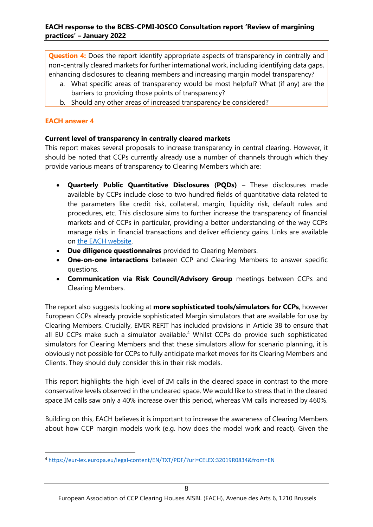**Question 4:** Does the report identify appropriate aspects of transparency in centrally and non-centrally cleared markets for further international work, including identifying data gaps, enhancing disclosures to clearing members and increasing margin model transparency?

- a. What specific areas of transparency would be most helpful? What (if any) are the barriers to providing those points of transparency?
- b. Should any other areas of increased transparency be considered?

#### **EACH answer 4**

#### **Current level of transparency in centrally cleared markets**

This report makes several proposals to increase transparency in central clearing. However, it should be noted that CCPs currently already use a number of channels through which they provide various means of transparency to Clearing Members which are:

- **Quarterly Public Quantitative Disclosures (PQDs)** These disclosures made available by CCPs include close to two hundred fields of quantitative data related to the parameters like credit risk, collateral, margin, liquidity risk, default rules and procedures, etc. This disclosure aims to further increase the transparency of financial markets and of CCPs in particular, providing a better understanding of the way CCPs manage risks in financial transactions and deliver efficiency gains. Links are available on [the EACH website.](https://www.eachccp.eu/cpmi-iosco-public-quantitative-disclosure/)
- **Due diligence questionnaires** provided to Clearing Members.
- **One-on-one interactions** between CCP and Clearing Members to answer specific questions.
- **Communication via Risk Council/Advisory Group** meetings between CCPs and Clearing Members.

The report also suggests looking at **more sophisticated tools/simulators for CCPs**, however European CCPs already provide sophisticated Margin simulators that are available for use by Clearing Members. Crucially, EMIR REFIT has included provisions in Article 38 to ensure that all EU CCPs make such a simulator available.<sup>4</sup> Whilst CCPs do provide such sophisticated simulators for Clearing Members and that these simulators allow for scenario planning, it is obviously not possible for CCPs to fully anticipate market moves for its Clearing Members and Clients. They should duly consider this in their risk models.

This report highlights the high level of IM calls in the cleared space in contrast to the more conservative levels observed in the uncleared space. We would like to stress that in the cleared space IM calls saw only a 40% increase over this period, whereas VM calls increased by 460%.

Building on this, EACH believes it is important to increase the awareness of Clearing Members about how CCP margin models work (e.g. how does the model work and react). Given the

<sup>4</sup> <https://eur-lex.europa.eu/legal-content/EN/TXT/PDF/?uri=CELEX:32019R0834&from=EN>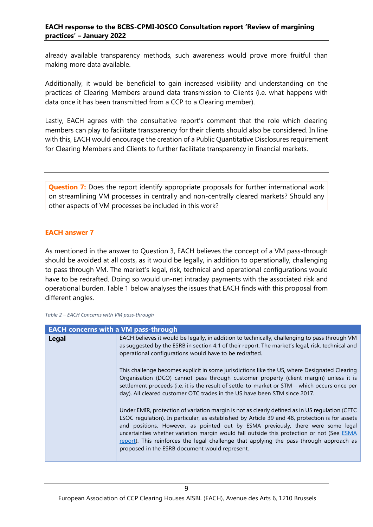already available transparency methods, such awareness would prove more fruitful than making more data available.

Additionally, it would be beneficial to gain increased visibility and understanding on the practices of Clearing Members around data transmission to Clients (i.e. what happens with data once it has been transmitted from a CCP to a Clearing member).

Lastly, EACH agrees with the consultative report's comment that the role which clearing members can play to facilitate transparency for their clients should also be considered. In line with this, EACH would encourage the creation of a Public Quantitative Disclosures requirement for Clearing Members and Clients to further facilitate transparency in financial markets.

**Question 7:** Does the report identify appropriate proposals for further international work on streamlining VM processes in centrally and non-centrally cleared markets? Should any other aspects of VM processes be included in this work?

#### **EACH answer 7**

As mentioned in the answer to Question 3, EACH believes the concept of a VM pass-through should be avoided at all costs, as it would be legally, in addition to operationally, challenging to pass through VM. The market's legal, risk, technical and operational configurations would have to be redrafted. Doing so would un-net intraday payments with the associated risk and operational burden. Table 1 below analyses the issues that EACH finds with this proposal from different angles.

| <b>EACH concerns with a VM pass-through</b> |                                                                                                                                                                                                                                                                                                                                                                                                                                                                                                                                 |  |
|---------------------------------------------|---------------------------------------------------------------------------------------------------------------------------------------------------------------------------------------------------------------------------------------------------------------------------------------------------------------------------------------------------------------------------------------------------------------------------------------------------------------------------------------------------------------------------------|--|
| Legal                                       | EACH believes it would be legally, in addition to technically, challenging to pass through VM<br>as suggested by the ESRB in section 4.1 of their report. The market's legal, risk, technical and<br>operational configurations would have to be redrafted.                                                                                                                                                                                                                                                                     |  |
|                                             | This challenge becomes explicit in some jurisdictions like the US, where Designated Clearing<br>Organisation (DCO) cannot pass through customer property (client margin) unless it is<br>settlement proceeds (i.e. it is the result of settle-to-market or STM - which occurs once per<br>day). All cleared customer OTC trades in the US have been STM since 2017.                                                                                                                                                             |  |
|                                             | Under EMIR, protection of variation margin is not as clearly defined as in US regulation (CFTC<br>LSOC regulation). In particular, as established by Article 39 and 48, protection is for assets<br>and positions. However, as pointed out by ESMA previously, there were some legal<br>uncertainties whether variation margin would fall outside this protection or not (See ESMA<br>report). This reinforces the legal challenge that applying the pass-through approach as<br>proposed in the ESRB document would represent. |  |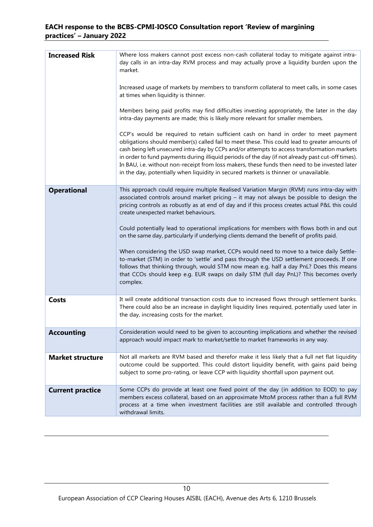| <b>Increased Risk</b>   | Where loss makers cannot post excess non-cash collateral today to mitigate against intra-<br>day calls in an intra-day RVM process and may actually prove a liquidity burden upon the<br>market.<br>Increased usage of markets by members to transform collateral to meet calls, in some cases<br>at times when liquidity is thinner.<br>Members being paid profits may find difficulties investing appropriately, the later in the day<br>intra-day payments are made; this is likely more relevant for smaller members.<br>CCP's would be required to retain sufficient cash on hand in order to meet payment<br>obligations should member(s) called fail to meet these. This could lead to greater amounts of<br>cash being left unsecured intra-day by CCPs and/or attempts to access transformation markets<br>in order to fund payments during illiquid periods of the day (if not already past cut-off times).<br>In BAU, i.e. without non-receipt from loss makers, these funds then need to be invested later<br>in the day, potentially when liquidity in secured markets is thinner or unavailable. |
|-------------------------|----------------------------------------------------------------------------------------------------------------------------------------------------------------------------------------------------------------------------------------------------------------------------------------------------------------------------------------------------------------------------------------------------------------------------------------------------------------------------------------------------------------------------------------------------------------------------------------------------------------------------------------------------------------------------------------------------------------------------------------------------------------------------------------------------------------------------------------------------------------------------------------------------------------------------------------------------------------------------------------------------------------------------------------------------------------------------------------------------------------|
|                         |                                                                                                                                                                                                                                                                                                                                                                                                                                                                                                                                                                                                                                                                                                                                                                                                                                                                                                                                                                                                                                                                                                                |
| <b>Operational</b>      | This approach could require multiple Realised Variation Margin (RVM) runs intra-day with<br>associated controls around market pricing $-$ it may not always be possible to design the<br>pricing controls as robustly as at end of day and if this process creates actual P&L this could<br>create unexpected market behaviours.<br>Could potentially lead to operational implications for members with flows both in and out<br>on the same day, particularly if underlying clients demand the benefit of profits paid.<br>When considering the USD swap market, CCPs would need to move to a twice daily Settle-<br>to-market (STM) in order to 'settle' and pass through the USD settlement proceeds. If one<br>follows that thinking through, would STM now mean e.g. half a day PnL? Does this means<br>that CCOs should keep e.g. EUR swaps on daily STM (full day PnL)? This becomes overly<br>complex.                                                                                                                                                                                                 |
| <b>Costs</b>            | It will create additional transaction costs due to increased flows through settlement banks.<br>There could also be an increase in daylight liquidity lines required, potentially used later in<br>the day, increasing costs for the market.                                                                                                                                                                                                                                                                                                                                                                                                                                                                                                                                                                                                                                                                                                                                                                                                                                                                   |
| <b>Accounting</b>       | Consideration would need to be given to accounting implications and whether the revised<br>approach would impact mark to market/settle to market frameworks in any way.                                                                                                                                                                                                                                                                                                                                                                                                                                                                                                                                                                                                                                                                                                                                                                                                                                                                                                                                        |
| <b>Market structure</b> | Not all markets are RVM based and therefor make it less likely that a full net flat liquidity<br>outcome could be supported. This could distort liquidity benefit, with gains paid being<br>subject to some pro-rating, or leave CCP with liquidity shortfall upon payment out.                                                                                                                                                                                                                                                                                                                                                                                                                                                                                                                                                                                                                                                                                                                                                                                                                                |
| <b>Current practice</b> | Some CCPs do provide at least one fixed point of the day (in addition to EOD) to pay<br>members excess collateral, based on an approximate MtoM process rather than a full RVM<br>process at a time when investment facilities are still available and controlled through<br>withdrawal limits.                                                                                                                                                                                                                                                                                                                                                                                                                                                                                                                                                                                                                                                                                                                                                                                                                |
|                         |                                                                                                                                                                                                                                                                                                                                                                                                                                                                                                                                                                                                                                                                                                                                                                                                                                                                                                                                                                                                                                                                                                                |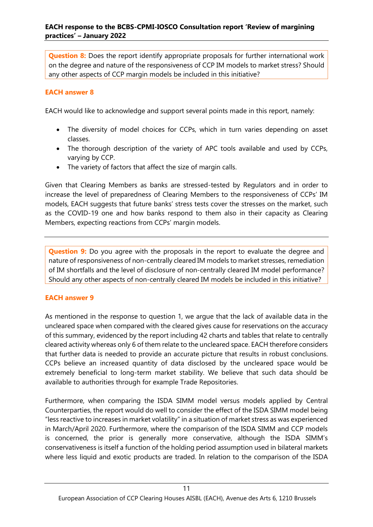**Question 8:** Does the report identify appropriate proposals for further international work on the degree and nature of the responsiveness of CCP IM models to market stress? Should any other aspects of CCP margin models be included in this initiative?

#### **EACH answer 8**

EACH would like to acknowledge and support several points made in this report, namely:

- The diversity of model choices for CCPs, which in turn varies depending on asset classes.
- The thorough description of the variety of APC tools available and used by CCPs, varying by CCP.
- The variety of factors that affect the size of margin calls.

Given that Clearing Members as banks are stressed-tested by Regulators and in order to increase the level of preparedness of Clearing Members to the responsiveness of CCPs' IM models, EACH suggests that future banks' stress tests cover the stresses on the market, such as the COVID-19 one and how banks respond to them also in their capacity as Clearing Members, expecting reactions from CCPs' margin models.

**Question 9:** Do you agree with the proposals in the report to evaluate the degree and nature of responsiveness of non-centrally cleared IM models to market stresses, remediation of IM shortfalls and the level of disclosure of non-centrally cleared IM model performance? Should any other aspects of non-centrally cleared IM models be included in this initiative?

#### **EACH answer 9**

As mentioned in the response to question 1, we argue that the lack of available data in the uncleared space when compared with the cleared gives cause for reservations on the accuracy of this summary, evidenced by the report including 42 charts and tables that relate to centrally cleared activity whereas only 6 of them relate to the uncleared space. EACH therefore considers that further data is needed to provide an accurate picture that results in robust conclusions. CCPs believe an increased quantity of data disclosed by the uncleared space would be extremely beneficial to long-term market stability. We believe that such data should be available to authorities through for example Trade Repositories.

Furthermore, when comparing the ISDA SIMM model versus models applied by Central Counterparties, the report would do well to consider the effect of the ISDA SIMM model being "less reactive to increases in market volatility" in a situation of market stress as was experienced in March/April 2020. Furthermore, where the comparison of the ISDA SIMM and CCP models is concerned, the prior is generally more conservative, although the ISDA SIMM's conservativeness is itself a function of the holding period assumption used in bilateral markets where less liquid and exotic products are traded. In relation to the comparison of the ISDA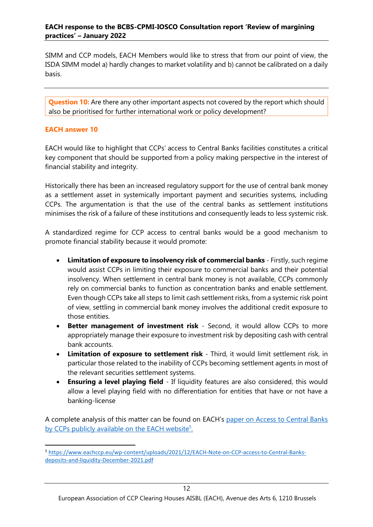SIMM and CCP models, EACH Members would like to stress that from our point of view, the ISDA SIMM model a) hardly changes to market volatility and b) cannot be calibrated on a daily basis.

**Question 10:** Are there any other important aspects not covered by the report which should also be prioritised for further international work or policy development?

#### **EACH answer 10**

EACH would like to highlight that CCPs' access to Central Banks facilities constitutes a critical key component that should be supported from a policy making perspective in the interest of financial stability and integrity.

Historically there has been an increased regulatory support for the use of central bank money as a settlement asset in systemically important payment and securities systems, including CCPs. The argumentation is that the use of the central banks as settlement institutions minimises the risk of a failure of these institutions and consequently leads to less systemic risk.

A standardized regime for CCP access to central banks would be a good mechanism to promote financial stability because it would promote:

- **Limitation of exposure to insolvency risk of commercial banks**  Firstly, such regime would assist CCPs in limiting their exposure to commercial banks and their potential insolvency. When settlement in central bank money is not available, CCPs commonly rely on commercial banks to function as concentration banks and enable settlement. Even though CCPs take all steps to limit cash settlement risks, from a systemic risk point of view, settling in commercial bank money involves the additional credit exposure to those entities.
- **Better management of investment risk** Second, it would allow CCPs to more appropriately manage their exposure to investment risk by depositing cash with central bank accounts.
- **Limitation of exposure to settlement risk** Third, it would limit settlement risk, in particular those related to the inability of CCPs becoming settlement agents in most of the relevant securities settlement systems.
- **Ensuring a level playing field**  If liquidity features are also considered, this would allow a level playing field with no differentiation for entities that have or not have a banking-license

A complete analysis of this matter can be found on EACH's [paper on Access to Central Banks](https://www.eachccp.eu/wp-content/uploads/2021/12/EACH-Note-on-CCP-access-to-Central-Banks-deposits-and-liquidity-December-2021.pdf)  [by CCPs](https://www.eachccp.eu/wp-content/uploads/2021/12/EACH-Note-on-CCP-access-to-Central-Banks-deposits-and-liquidity-December-2021.pdf) publicly available on the EACH website<sup>5</sup>.

<sup>5</sup> [https://www.eachccp.eu/wp-content/uploads/2021/12/EACH-Note-on-CCP-access-to-Central-Banks](https://www.eachccp.eu/wp-content/uploads/2021/12/EACH-Note-on-CCP-access-to-Central-Banks-deposits-and-liquidity-December-2021.pdf)[deposits-and-liquidity-December-2021.pdf](https://www.eachccp.eu/wp-content/uploads/2021/12/EACH-Note-on-CCP-access-to-Central-Banks-deposits-and-liquidity-December-2021.pdf)